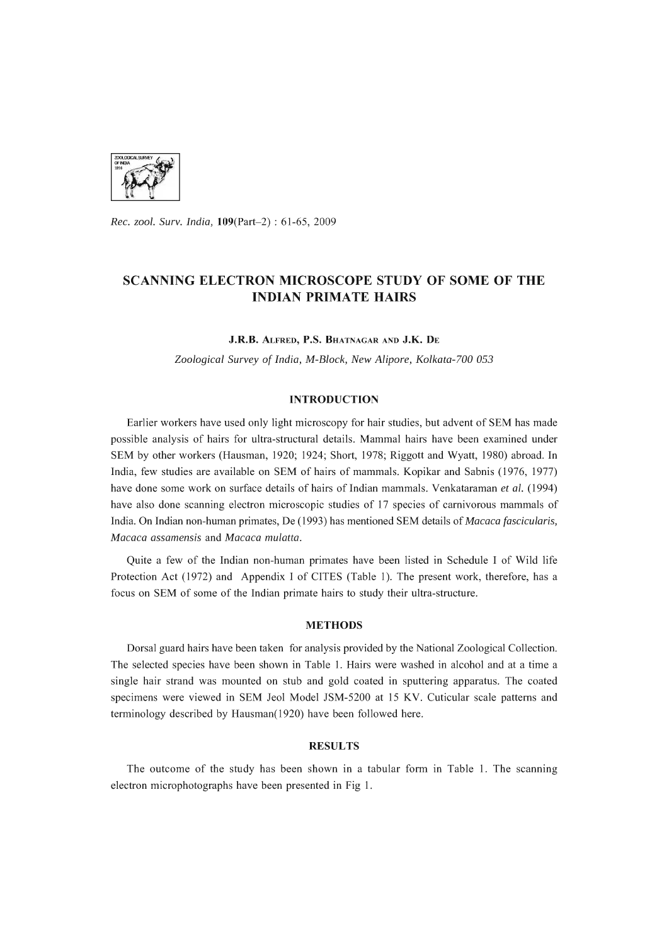

*Rec. zool. Surv. India,* l09(Part-2) : 61-6S, 2009

# SCANNING ELECTRON MICROSCOPE STUDY OF SOME OF THE INDIAN PRIMATE HAIRS

J.R.B. ALFRED, P.S. BHATNAGAR AND J.K. DE

*Zoological Survey* of *India, M-Block, New Alipore, Kolkata-700 053* 

## INTRODUCTION

Earlier workers have used only light microscopy for hair studies, but advent of SEM has made possible analysis of hairs for ultra-structural details. Mammal hairs have been examined under SEM by other workers (Hausman, 1920; 1924; Short, 1978; Riggott and Wyatt, 1980) abroad. In India, few studies are available on SEM of hairs of mammals. Kopikar and Sabnis (1976, 1977) have done some work on surface details of hairs of Indian mammals. Venkataraman *et al.* (1994) have also done scanning electron microscopic studies of 17 species of carnivorous mammals of India. On Indian non-human primates, De (1993) has mentioned SEM details of *Macaca fascicularis, Macaca assamensis* and *Macaca mulatta.* 

Quite a few of the Indian non-human primates have been listed in Schedule I of Wild life Protection Act (1972) and Appendix I of CITES (Table 1). The present work, therefore, has a focus on SEM of some of the Indian primate hairs to study their ultra-structure.

## METHODS

Dorsal guard hairs have been taken for analysis provided by the National Zoological Collection. The selected species have been shown in Table 1. Hairs were washed in alcohol and at a time a single hair strand was mounted on stub and gold coated in sputtering apparatus. The coated specimens were viewed in SEM Jeol Model JSM-S200 at *IS* KV. Cuticular scale patterns and terminology described by Hausman(1920) have been followed here.

### RESULTS

The outcome of the study has been shown in a tabular form in Table 1. The scanning electron microphotographs have been presented in Fig 1.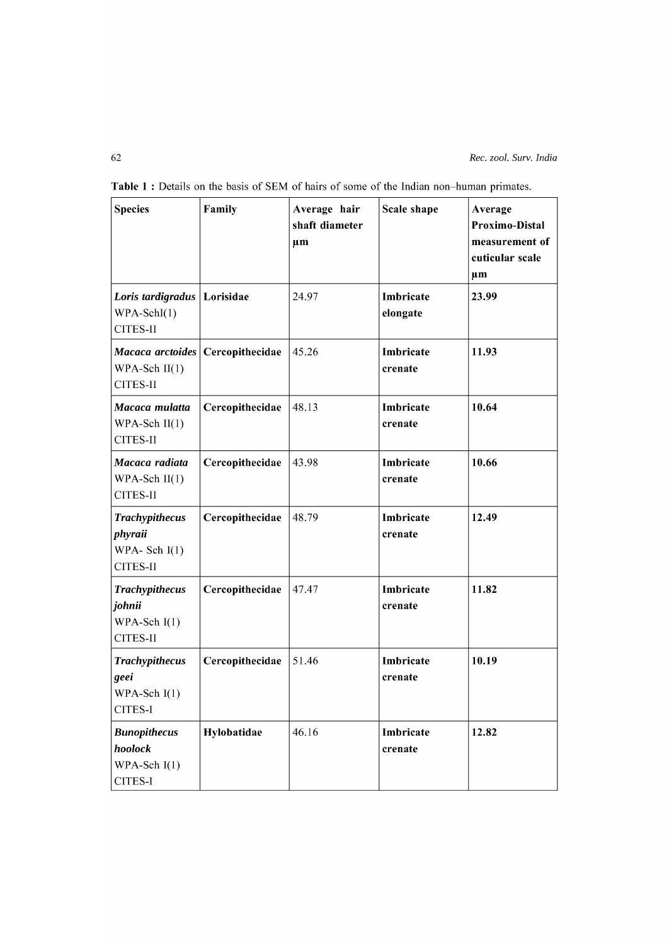| <b>Species</b>                                                       | Family          | Average hair<br>shaft diameter<br>$\mu$ m | Scale shape           | Average<br>Proximo-Distal<br>measurement of<br>cuticular scale<br>$\mu$ m |
|----------------------------------------------------------------------|-----------------|-------------------------------------------|-----------------------|---------------------------------------------------------------------------|
| Loris tardigradus   Lorisidae<br>$WPA-SchI(1)$<br>CITES-II           |                 | 24.97                                     | Imbricate<br>elongate | 23.99                                                                     |
| Macaca arctoides Cercopithecidae<br>$WPA-Sch$ II(1)<br>CITES-II      |                 | 45.26                                     | Imbricate<br>crenate  | 11.93                                                                     |
| Macaca mulatta<br>WPA-Sch $II(1)$<br>CITES-II                        | Cercopithecidae | 48.13                                     | Imbricate<br>crenate  | 10.64                                                                     |
| Macaca radiata<br>WPA-Sch $II(1)$<br>CITES-II                        | Cercopithecidae | 43.98                                     | Imbricate<br>crenate  | 10.66                                                                     |
| <b>Trachypithecus</b><br>phyraii<br>WPA-Sch $I(1)$<br>CITES-II       | Cercopithecidae | 48.79                                     | Imbricate<br>crenate  | 12.49                                                                     |
| <b>Trachypithecus</b><br>johnii<br>WPA-Sch $I(1)$<br><b>CITES-II</b> | Cercopithecidae | 47.47                                     | Imbricate<br>crenate  | 11.82                                                                     |
| <b>Trachypithecus</b><br>geei<br>WPA-Sch $I(1)$<br>CITES-I           | Cercopithecidae | 51.46                                     | Imbricate<br>crenate  | 10.19                                                                     |
| <b>Bunopithecus</b><br>hoolock<br>WPA-Sch $I(1)$<br>CITES-I          | Hylobatidae     | 46.16                                     | Imbricate<br>crenate  | 12.82                                                                     |

Table 1 : Details on the basis of SEM of hairs of some of the Indian non-human primates.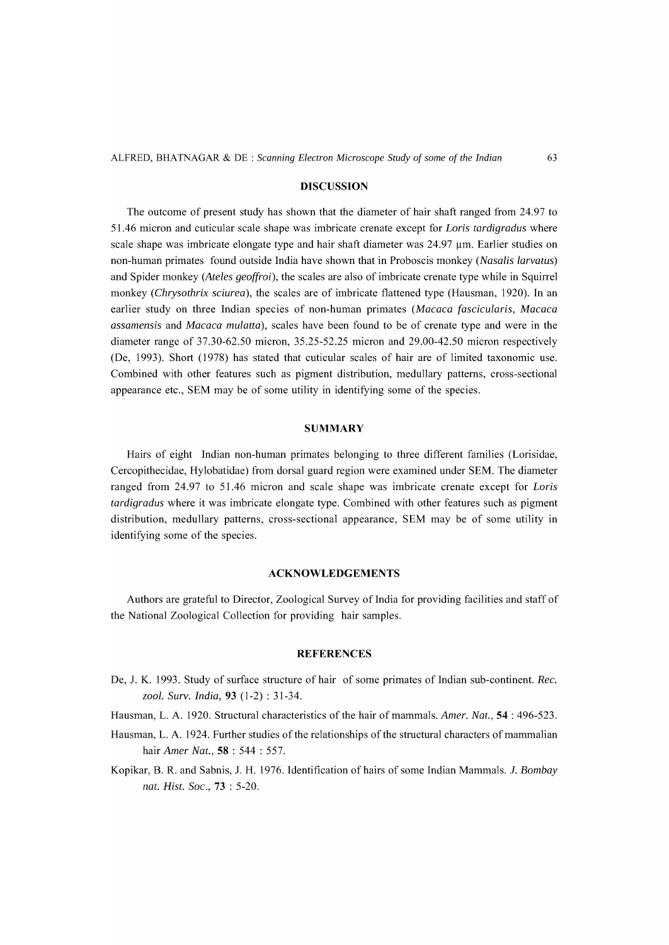#### **DISCUSSION**

The outcome of present study has shown that the diameter of hair shaft ranged from 24.97 to 51.46 micron and cuticular scale shape was imbricate crenate except for *Loris tardigradus* where scale shape was imbricate elongate type and hair shaft diameter was 24.97 um. Earlier studies on non-human primates found outside India have shown that in Proboscis monkey *(Nasalis larvatus)*  and Spider monkey *(Ateles geoffroi),* the scales are also of imbricate crenate type while in Squirrel monkey *(Chrysothrix sciurea),* the scales are of imbricate flattened type (Hausman, 1920). **In** an earlier study on three Indian species of non-human primates *(Macaca fascicularis, Macaca assamensis* and *Macaca mulatta),* scales have been found to be of crenate type and were in the diameter range of 37.30-62.50 micron, 35.25-52.25 micron and 29.00-42.50 micron respectively (De, 1993). Short (1978) has stated that cuticular scales of hair are of limited taxonomic use. Combined with other features such as pigment distribution, medullary patterns, cross-sectional appearance etc., SEM may be of some utility in identifying some of the species.

#### **SUMMARY**

Hairs of eight Indian non-human primates belonging to three different families (Lorisidae, Cercopithecidae, Hylobatidae) from dorsal guard region were examined under SEM. The diameter ranged from 24.97 to 51.46 micron and scale shape was imbricate crenate except for *Loris tardigradus* where it was imbricate elongate type. Combined with other features such as pigment distribution, medullary patterns, cross-sectional appearance, SEM may be of some utility in identifying some of the species.

#### **ACKNOWLEDGEMENTS**

Authors are grateful to Director, Zoological Survey of India for providing facilities and staff of the National Zoological Collection for providing hair samples.

## **REFERENCES**

- De, J. K. 1993. Study of surface structure of hair of some primates of Indian sub-continent. Rec. *zool. Surv. India,* **93** (1-2) : 31-34.
- Hausman, L. A. 1920. Structural characteristics of the hair of mammals. *Amer. Nat.,* **54** : 496-523.
- Hausman, L. A. 1924. Further studies of the relationships of the structural characters of mammalian hair *Amer Nat.,* **58** : 544 : 557.
- Kopikar, B. R. and Sabnis, J. H. 1976. Identification of hairs of some Indian Mammals. 1. *Bombay nat. Rist. Soc.,* **73** : 5-20.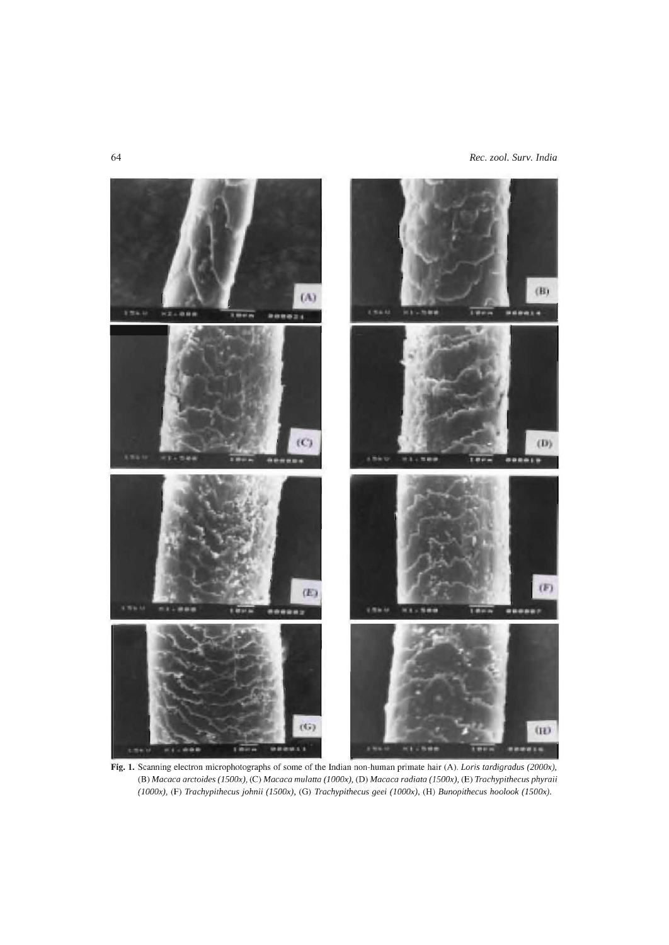64 *Rec. zool. Surv. India* 



**Fig. 1.** Scanning electron microphotographs of some of the Indian non-human primate hair (A). *Loris tardigradus (2000x),*  (B) *Macaca arctoides (l500x),* (C) *Macaca mulatta (lOOOx),* (D) *Macaca radiata (l500x),* (E) *Trachypithecus phyraii (lOOOx),* (F) *Trachypithecus johnii (l500x),* (G) *Trachypithecus geei (lOOOx),* (H) *Bunopithecus hoolook (l500x).*